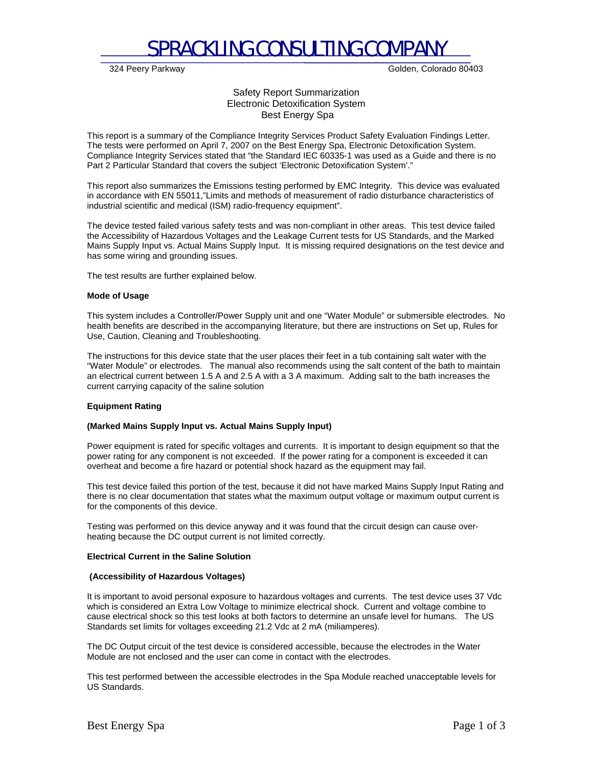

324 Peery Parkway Golden, Colorado 80403

Safety Report Summarization Electronic Detoxification System Best Energy Spa

This report is a summary of the Compliance Integrity Services Product Safety Evaluation Findings Letter. The tests were performed on April 7, 2007 on the Best Energy Spa, Electronic Detoxification System. Compliance Integrity Services stated that "the Standard IEC 60335-1 was used as a Guide and there is no Part 2 Particular Standard that covers the subject 'Electronic Detoxification System'."

This report also summarizes the Emissions testing performed by EMC Integrity. This device was evaluated in accordance with EN 55011,"Limits and methods of measurement of radio disturbance characteristics of industrial scientific and medical (ISM) radio-frequency equipment".

The device tested failed various safety tests and was non-compliant in other areas. This test device failed the Accessibility of Hazardous Voltages and the Leakage Current tests for US Standards, and the Marked Mains Supply Input vs. Actual Mains Supply Input. It is missing required designations on the test device and has some wiring and grounding issues.

The test results are further explained below.

### **Mode of Usage**

This system includes a Controller/Power Supply unit and one "Water Module" or submersible electrodes. No health benefits are described in the accompanying literature, but there are instructions on Set up, Rules for Use, Caution, Cleaning and Troubleshooting.

The instructions for this device state that the user places their feet in a tub containing salt water with the "Water Module" or electrodes. The manual also recommends using the salt content of the bath to maintain an electrical current between 1.5 A and 2.5 A with a 3 A maximum. Adding salt to the bath increases the current carrying capacity of the saline solution

# **Equipment Rating**

# **(Marked Mains Supply Input vs. Actual Mains Supply Input)**

Power equipment is rated for specific voltages and currents. It is important to design equipment so that the power rating for any component is not exceeded. If the power rating for a component is exceeded it can overheat and become a fire hazard or potential shock hazard as the equipment may fail.

This test device failed this portion of the test, because it did not have marked Mains Supply Input Rating and there is no clear documentation that states what the maximum output voltage or maximum output current is for the components of this device.

Testing was performed on this device anyway and it was found that the circuit design can cause overheating because the DC output current is not limited correctly.

### **Electrical Current in the Saline Solution**

### **(Accessibility of Hazardous Voltages)**

It is important to avoid personal exposure to hazardous voltages and currents. The test device uses 37 Vdc which is considered an Extra Low Voltage to minimize electrical shock. Current and voltage combine to cause electrical shock so this test looks at both factors to determine an unsafe level for humans. The US Standards set limits for voltages exceeding 21.2 Vdc at 2 mA (miliamperes).

The DC Output circuit of the test device is considered accessible, because the electrodes in the Water Module are not enclosed and the user can come in contact with the electrodes.

This test performed between the accessible electrodes in the Spa Module reached unacceptable levels for US Standards.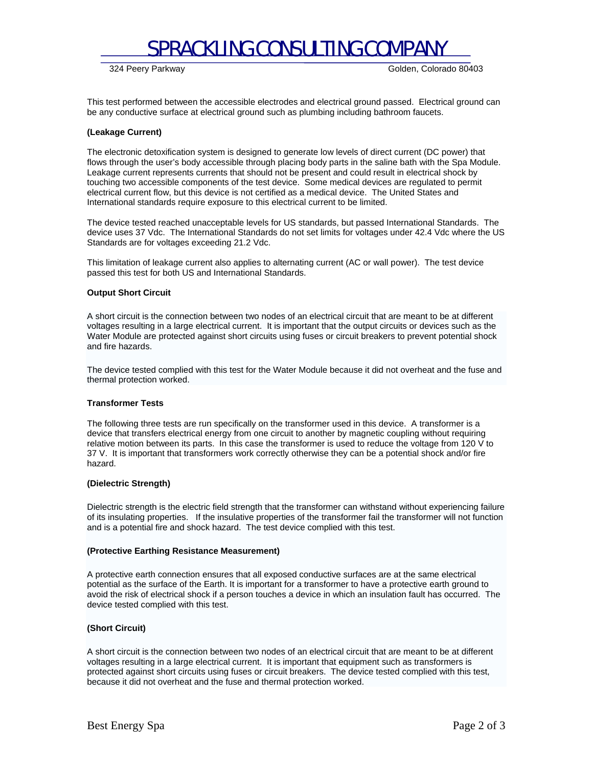

324 Peery Parkway Golden, Colorado 80403

This test performed between the accessible electrodes and electrical ground passed. Electrical ground can be any conductive surface at electrical ground such as plumbing including bathroom faucets.

## **(Leakage Current)**

The electronic detoxification system is designed to generate low levels of direct current (DC power) that flows through the user's body accessible through placing body parts in the saline bath with the Spa Module. Leakage current represents currents that should not be present and could result in electrical shock by touching two accessible components of the test device. Some medical devices are regulated to permit electrical current flow, but this device is not certified as a medical device. The United States and International standards require exposure to this electrical current to be limited.

The device tested reached unacceptable levels for US standards, but passed International Standards. The device uses 37 Vdc. The International Standards do not set limits for voltages under 42.4 Vdc where the US Standards are for voltages exceeding 21.2 Vdc.

This limitation of leakage current also applies to alternating current (AC or wall power). The test device passed this test for both US and International Standards.

# **Output Short Circuit**

A short circuit is the connection between two nodes of an electrical circuit that are meant to be at different voltages resulting in a large electrical current. It is important that the output circuits or devices such as the Water Module are protected against short circuits using fuses or circuit breakers to prevent potential shock and fire hazards.

The device tested complied with this test for the Water Module because it did not overheat and the fuse and thermal protection worked.

### **Transformer Tests**

The following three tests are run specifically on the transformer used in this device. A transformer is a device that transfers electrical energy from one circuit to another by magnetic coupling without requiring relative motion between its parts. In this case the transformer is used to reduce the voltage from 120 V to 37 V. It is important that transformers work correctly otherwise they can be a potential shock and/or fire hazard.

### **(Dielectric Strength)**

Dielectric strength is the electric field strength that the transformer can withstand without experiencing failure of its insulating properties. If the insulative properties of the transformer fail the transformer will not function and is a potential fire and shock hazard. The test device complied with this test.

### **(Protective Earthing Resistance Measurement)**

A protective earth connection ensures that all exposed conductive surfaces are at the same electrical potential as the surface of the Earth. It is important for a transformer to have a protective earth ground to avoid the risk of electrical shock if a person touches a device in which an insulation fault has occurred. The device tested complied with this test.

# **(Short Circuit)**

A short circuit is the connection between two nodes of an electrical circuit that are meant to be at different voltages resulting in a large electrical current. It is important that equipment such as transformers is protected against short circuits using fuses or circuit breakers. The device tested complied with this test, because it did not overheat and the fuse and thermal protection worked.